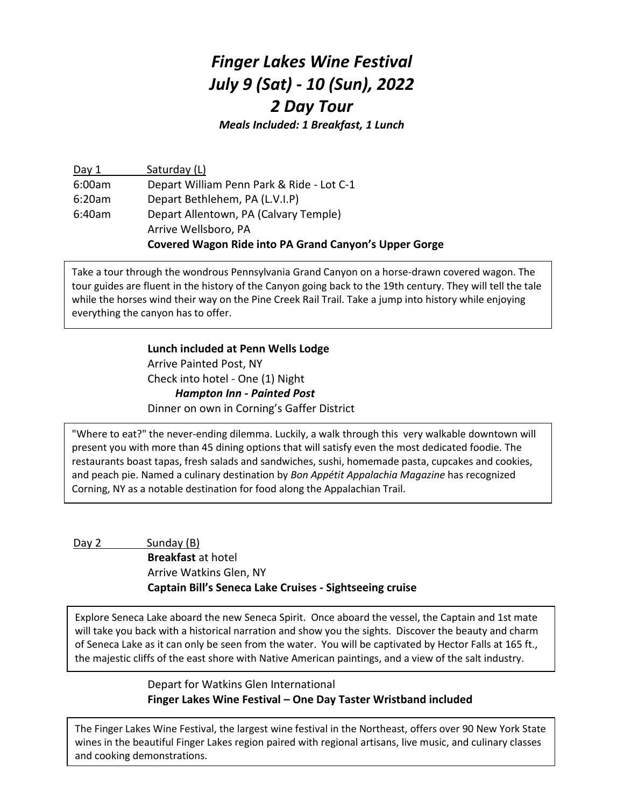## *Finger Lakes Wine Festival July 9 (Sat) - 10 (Sun), 2022 2 Day Tour*

*Meals Included: 1 Breakfast, 1 Lunch*

Day 1 Saturday (L) 6:00am Depart William Penn Park & Ride - Lot C-1 6:20am Depart Bethlehem, PA (L.V.I.P) 6:40am Depart Allentown, PA (Calvary Temple) Arrive Wellsboro, PA **Covered Wagon Ride into PA Grand Canyon's Upper Gorge**

Take a tour through the wondrous Pennsylvania Grand Canyon on a horse-drawn covered wagon. The tour guides are fluent in the history of the Canyon going back to the 19th century. They will tell the tale while the horses wind their way on the Pine Creek Rail Trail. Take a jump into history while enjoying everything the canyon has to offer.

> **Lunch included at Penn Wells Lodge** Arrive Painted Post, NY Check into hotel - One (1) Night *Hampton Inn - Painted Post* Dinner on own in Corning's Gaffer District

"Where to eat?" the never-ending dilemma. Luckily, a walk through this [very walkable downtown](https://www.walkscore.com/score/rr%204%20corning%20ny%2014830) will present you with more than 45 dining options that will satisfy even the most dedicated foodie. The restaurants boast tapas, fresh salads and sandwiches, sushi, homemade pasta, cupcakes and cookies, and peach pie. Named a culinary destination by *Bon Appétit Appalachia Magazine* has recognized Corning, NY as a notable destination for food along the Appalachian Trail.

Day 2 Sunday (B) **Breakfast** at hotel Arrive Watkins Glen, NY **Captain Bill's Seneca Lake Cruises - Sightseeing cruise**

Explore Seneca Lake aboard the new Seneca Spirit. Once aboard the vessel, the Captain and 1st mate will take you back with a historical narration and show you the sights. Discover the beauty and charm of Seneca Lake as it can only be seen from the water. You will be captivated by Hector Falls at 165 ft., the majestic cliffs of the east shore with Native American paintings, and a view of the salt industry.

## Depart for Watkins Glen International **Finger Lakes Wine Festival – One Day Taster Wristband included**

The Finger Lakes Wine Festival, the largest wine festival in the Northeast, offers over 90 New York State wines in the beautiful Finger Lakes region paired with regional artisans, live music, and culinary classes and cooking demonstrations.